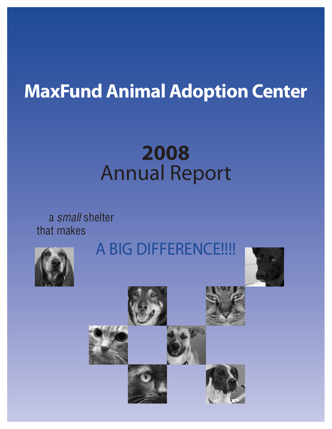# **MaxFund Animal Adoption Center**

# **2008** Annual Report

a small shelter that makes







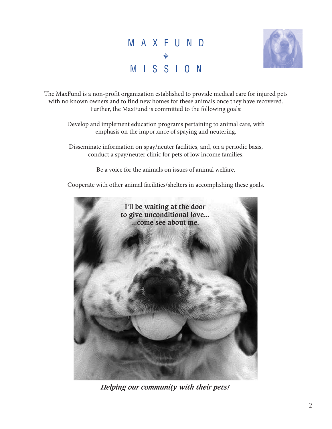## M A X F U N D ♦ M I S S I O N



The MaxFund is a non-profit organization established to provide medical care for injured pets with no known owners and to find new homes for these animals once they have recovered. Further, the MaxFund is committed to the following goals:

Develop and implement education programs pertaining to animal care, with emphasis on the importance of spaying and neutering.

Disseminate information on spay/neuter facilities, and, on a periodic basis, conduct a spay/neuter clinic for pets of low income families.

Be a voice for the animals on issues of animal welfare.

Cooperate with other animal facilities/shelters in accomplishing these goals.



*Helping our community with their pets!*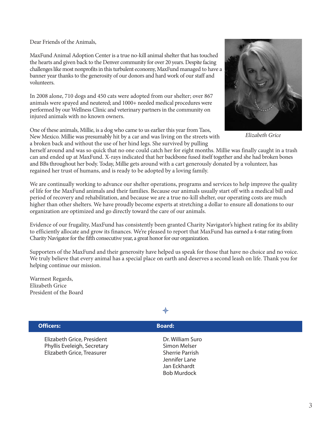Dear Friends of the Animals,

MaxFund Animal Adoption Center is a true no-kill animal shelter that has touched the hearts and given back to the Denver community for over 20 years. Despite facing challenges like most nonprofits in this turbulent economy, MaxFund managed to have a banner year thanks to the generosity of our donors and hard work of our staff and volunteers.

In 2008 alone, 710 dogs and 450 cats were adopted from our shelter; over 867 animals were spayed and neutered; and 1000+ needed medical procedures were performed by our Wellness Clinic and veterinary partners in the community on injured animals with no known owners.

One of these animals, Millie, is a dog who came to us earlier this year from Taos, New Mexico. Millie was presumably hit by a car and was living on the streets with a broken back and without the use of her hind legs. She survived by pulling



Elizabeth Grice

herself around and was so quick that no one could catch her for eight months. Millie was finally caught in a trash can and ended up at MaxFund. X-rays indicated that her backbone fused itself together and she had broken bones and BBs throughout her body. Today, Millie gets around with a cart generously donated by a volunteer, has regained her trust of humans, and is ready to be adopted by a loving family.

We are continually working to advance our shelter operations, programs and services to help improve the quality of life for the MaxFund animals and their families. Because our animals usually start off with a medical bill and period of recovery and rehabilitation, and because we are a true no-kill shelter, our operating costs are much higher than other shelters. We have proudly become experts at stretching a dollar to ensure all donations to our organization are optimized and go directly toward the care of our animals.

Evidence of our frugality, MaxFund has consistently been granted Charity Navigator's highest rating for its ability to efficiently allocate and grow its finances. We're pleased to report that MaxFund has earned a 4-star rating from Charity Navigator for the fifth consecutive year, a great honor for our organization.

Supporters of the MaxFund and their generosity have helped us speak for those that have no choice and no voice. We truly believe that every animal has a special place on earth and deserves a second leash on life. Thank you for helping continue our mission.

Warmest Regards, Elizabeth Grice President of the Board

#### **Officers: Board: Officers: Board:**Elizabeth Grice, President<br>
Phyllis Eveleigh, Secretary<br>
Dr. William Suro Phyllis Eveleigh, Secretary Elizabeth Grice, Treasurer Sherrie Parrish Jennifer Lane Jan Eckhardt Bob Murdock

♦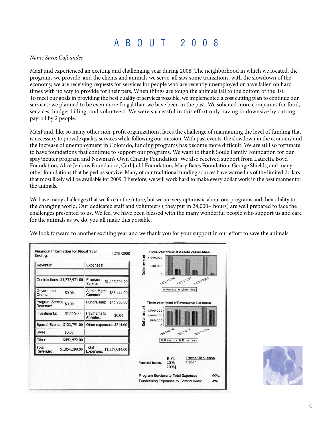#### A B O U T 2 0 0 8

#### Nanci Suro; Cofounder

MaxFund experienced an exciting and challenging year during 2008. The neighborhood in which we located, the programs we provide, and the clients and animals we serve, all saw some transitions. with the slowdown of the economy, we are receiving requests for services for people who are recently unemployed or have fallen on hard times with no way to provide for their pets. When things are tough the animals fall to the bottom of the list. To meet our goals in providing the best quality of services possible, we implemented a cost cutting plan to continue our services: we planned to be even more frugal than we have been in the past. We solicited more companies for food, services, budget billing, and volunteers. We were successful in this effort only having to downsize by cutting payroll by 2 people.

MaxFund, like so many other non-profit organizations, faces the challenge of maintaining the level of funding that is necessary to provide quality services while following our mission. With past events, the slowdown in the economy and the increase of unemployment in Colorado, funding programs has become more difficult. We are still so fortunate to have foundations that continue to support our programs. We want to thank Soule Family Foundation for our spay/neuter program and Newman's Own Charity Foundation. We also received support from Lauretta Boyd Foundation, Alice Jenkins Foundation, Carl Judd Foundation, Mary Bates Foundation, George Shields, and many other foundations that helped us survive. Many of our traditional funding sources have warned us of the limited dollars that most likely will be available for 2009. Therefore, we will work hard to make every dollar work in the best manner for the animals.

We have many challenges that we face in the future, but we are very optimistic about our programs and their ability to the changing world. Our dedicated staff and volunteers ( they put in 24,000+ hours) are well prepared to face the challenges presented to us. We feel we have been blessed with the many wonderful people who support us and care for the animals as we do, you all make this possible.

We look forward to another exciting year and we thank you for your support in our effort to save the animals.

| Revenue:                            | Expenses:                                    | Dollar amount<br>500,000                                                                       |
|-------------------------------------|----------------------------------------------|------------------------------------------------------------------------------------------------|
| Contributions: \$1,232,971.00       | Program<br>\$1,455,506.00<br>Service:        | 12/31/2006<br>12/31/2007<br>12/31/2008                                                         |
| Government<br>\$0.00<br>Grants:     | <b>Admin Mgmt</b><br>\$55,444.00<br>General: | Assets <b>ELiabilities</b>                                                                     |
| Program Service \$0.00<br>Revenue:  | Fundraising:<br>\$45,860.00                  | <b>Three-year trend of Revenue vs Expenses</b>                                                 |
| \$5,556.00<br>Investments:          | Payments to<br>\$0.00<br>Affiliates:         | Dollar amount<br>1,500,000<br>1,000,000                                                        |
| Special Events: \$122,791.00        | Other expenses: \$214.00                     | 500,000                                                                                        |
| Sales:<br>\$0.00                    |                                              | 12/31/2006<br>12/31/2007<br>12/31/2008                                                         |
| Other:<br>\$492,972.00              |                                              | Revenue <b>Expenses</b>                                                                        |
| Total<br>\$1,854,290.00<br>Revenue: | Total<br>\$1,557,024.00<br>Expenses:         |                                                                                                |
|                                     |                                              | <b>IFYE</b><br><b>Ratios Discussion</b><br>Paper<br>2006-<br><b>Financial Ratios:</b><br>20081 |
|                                     |                                              | Program Services to Total Expenses:<br>60%<br>Fundraising Expenses to Contributions:<br>4%     |

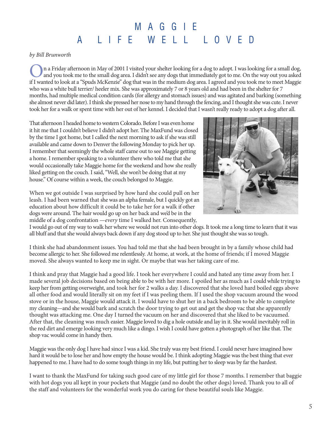## M A G G I E A L I F E W E L L L O V E D

by Bill Brunworth

n a Friday afternoon in May of 2001 I visited your shelter looking for a dog to adopt. I was looking for a small dog,<br>and you took me to the small dog area. I didn't see any dogs that immediately got to me. On the way out if I wanted to look at a "Spuds McKenzie" dog that was in the medium dog area. I agreed and you took me to meet Maggie who was a white bull terrier/ heeler mix. She was approximately 7 or 8 years old and had been in the shelter for 7 months, had multiple medical condition cards (for allergy and stomach issues) and was agitated and barking (something she almost never did later). I think she pressed her nose to my hand through the fencing, and I thought she was cute. I never took her for a walk or spent time with her out of her kennel. I decided that I wasn't really ready to adopt a dog after all.

That afternoon I headed home to western Colorado. Before I was even home it hit me that I couldn't believe I didn't adopt her. The MaxFund was closed by the time I got home, but I called the next morning to ask if she was still available and came down to Denver the following Monday to pick her up. I remember that seemingly the whole staff came out to see Maggie getting a home. I remember speaking to a volunteer there who told me that she would occasionally take Maggie home for the weekend and how she really liked getting on the couch. I said, "Well, she won't be doing that at my house." Of course within a week, the couch belonged to Maggie.

When we got outside I was surprised by how hard she could pull on her leash. I had been warned that she was an alpha female, but I quickly got an education about how difficult it could be to take her for a walk if other dogs were around. The hair would go up on her back and we'd be in the middle of a dog confrontation —every time I walked her. Consequently,



I would go out of my way to walk her where we would not run into other dogs. It took me a long time to learn that it was all bluff and that she would always back down if any dog stood up to her. She just thought she was so tough.

I think she had abandonment issues. You had told me that she had been brought in by a family whose child had become allergic to her. She followed me relentlessly. At home, at work, at the home of friends; if I moved Maggie moved. She always wanted to keep me in sight. Or maybe that was her taking care of me.

I think and pray that Maggie had a good life. I took her everywhere I could and hated any time away from her. I made several job decisions based on being able to be with her more. I spoiled her as much as I could while trying to keep her from getting overweight, and took her for 2 walks a day. I discovered that she loved hard boiled eggs above all other food and would literally sit on my feet if I was peeling them. If I used the shop vacuum around the wood stove or in the house, Maggie would attack it. I would have to shut her in a back bedroom to be able to complete my cleaning—and she would bark and scratch the door trying to get out and get the shop vac that she apparently thought was attacking me. One day I turned the vacuum on her and discovered that she liked to be vacuumed. After that, the cleaning was much easier. Maggie loved to dig a hole outside and lay in it. She would inevitably roll in the red dirt and emerge looking very much like a dingo. I wish I could have gotten a photograph of her like that. The shop vac would come in handy then.

Maggie was the only dog I have had since I was a kid. She truly was my best friend. I could never have imagined how hard it would be to lose her and how empty the house would be. I think adopting Maggie was the best thing that ever happened to me. I have had to do some tough things in my life, but putting her to sleep was by far the hardest.

I want to thank the MaxFund for taking such good care of my little girl for those 7 months. I remember that baggie with hot dogs you all kept in your pockets that Maggie (and no doubt the other dogs) loved. Thank you to all of the staff and volunteers for the wonderful work you do caring for these beautiful souls like Maggie.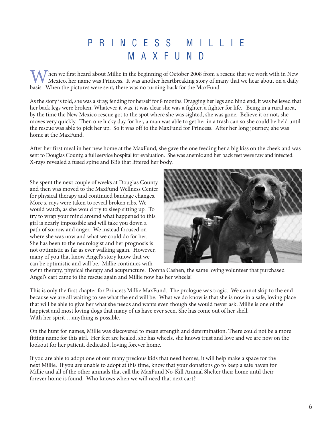## P R I N C E S S M I L L I E M A X F U N D

Then we first heard about Millie in the beginning of October 2008 from a rescue that we work with in New Mexico, her name was Princess. It was another heartbreaking story of many that we hear about on a daily basis. When the pictures were sent, there was no turning back for the MaxFund.

As the story is told, she was a stray, fending for herself for 8 months. Dragging her legs and hind end, it was believed that her back legs were broken. Whatever it was, it was clear she was a fighter, a fighter for life. Being in a rural area, by the time the New Mexico rescue got to the spot where she was sighted, she was gone. Believe it or not, she moves very quickly. Then one lucky day for her, a man was able to get her in a trash can so she could be held until the rescue was able to pick her up. So it was off to the MaxFund for Princess. After her long journey, she was home at the MaxFund.

After her first meal in her new home at the MaxFund, she gave the one feeding her a big kiss on the cheek and was sent to Douglas County, a full service hospital for evaluation. She was anemic and her back feet were raw and infected. X-rays revealed a fused spine and BB's that littered her body.

She spent the next couple of weeks at Douglas County and then was moved to the MaxFund Wellness Center for physical therapy and continued bandage changes. More x-rays were taken to reveal broken ribs. We would watch, as she would try to sleep sitting up. To try to wrap your mind around what happened to this girl is nearly impossible and will take you down a path of sorrow and anger. We instead focused on where she was now and what we could do for her. She has been to the neurologist and her prognosis is not optimistic as far as ever walking again. However, many of you that know Angel's story know that we can be optimistic and will be. Millie continues with



swim therapy, physical therapy and acupuncture. Donna Cashen, the same loving volunteer that purchased Angel's cart came to the rescue again and Millie now has her wheels!

This is only the first chapter for Princess Millie MaxFund. The prologue was tragic. We cannot skip to the end because we are all waiting to see what the end will be. What we do know is that she is now in a safe, loving place that will be able to give her what she needs and wants even though she would never ask. Millie is one of the happiest and most loving dogs that many of us have ever seen. She has come out of her shell. With her spirit …anything is possible.

On the hunt for names, Millie was discovered to mean strength and determination. There could not be a more fitting name for this girl. Her feet are healed, she has wheels, she knows trust and love and we are now on the lookout for her patient, dedicated, loving forever home.

If you are able to adopt one of our many precious kids that need homes, it will help make a space for the next Millie. If you are unable to adopt at this time, know that your donations go to keep a safe haven for Millie and all of the other animals that call the MaxFund No-Kill Animal Shelter their home until their forever home is found. Who knows when we will need that next cart?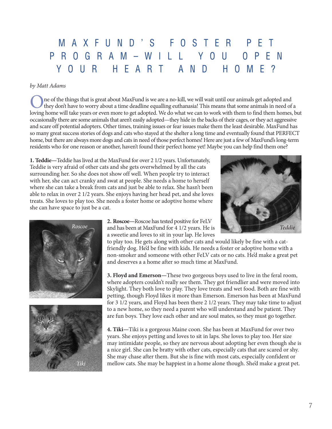## M A X F U N D ' S F O S T E R P E T P R O G R A M – W I L L Y O U O P E N Y O U R H E A R T A N D H O M E ?

#### by Matt Adams

One of the things that is great about MaxFund is we are a no-kill, we will wait until our animals get adopted and they don't have to worry about a time deadline equalling euthanasia! This means that some animals in need of a loving home will take years or even more to get adopted. We do what we can to work with them to find them homes, but occasionally there are some animals that aren't easily adopted—they hide in the backs of their cages, or they act aggressive and scare off potential adopters. Other times, training issues or fear issues make them the least desirable. MaxFund has so many great success stories of dogs and cats who stayed at the shelter a long time and eventually found that PERFECT home, but there are always more dogs and cats in need of those perfect homes! Here are just a few of MaxFund's long-term residents who for one reason or another, haven't found their perfect home yet! Maybe you can help find them one?

**1. Teddie—**Teddie has lived at the MaxFund for over 2 1/2 years. Unfortunately, Teddie is very afraid of other cats and she gets overwhelmed by all the cats surrounding her. So she does not show off well. When people try to interact with her, she can act cranky and swat at people. She needs a home to herself where she can take a break from cats and just be able to relax. She hasn't been able to relax in over 2 1/2 years. She enjoys having her head pet, and she loves treats. She loves to play too. She needs a foster home or adoptive home where she can have space to just be a cat.







**2. Roscoe—**Roscoe has tested positive for FeLV and has been at MaxFund for 4 1/2 years. He is a sweetie and loves to sit in your lap. He loves

to play too. He gets along with other cats and would likely be fine with a catfriendly dog. He'd be fine with kids. He needs a foster or adoptive home with a non-smoker and someone with other FeLV cats or no cats. He'd make a great pet and deserves a a home after so much time at MaxFund.

**3. Floyd and Emerson—**These two gorgeous boys used to live in the feral room, where adopters couldn't really see them. They got friendlier and were moved into Skylight. They both love to play. They love treats and wet food. Both are fine with petting, though Floyd likes it more than Emerson. Emerson has been at MaxFund for 3 1/2 years, and Floyd has been there 2 1/2 years. They may take time to adjust to a new home, so they need a parent who will understand and be patient. They are fun boys. They love each other and are soul mates, so they must go together.

**4. Tiki—**Tiki is a gorgeous Maine coon. She has been at MaxFund for over two years. She enjoys petting and loves to sit in laps. She loves to play too. Her size may intimidate people, so they are nervous about adopting her even though she is a nice girl. She can be bratty with other cats, especially cats that are scared or shy. She may chase after them. But she is fine with most cats, especially confident or mellow cats. She may be happiest in a home alone though. She'd make a great pet.